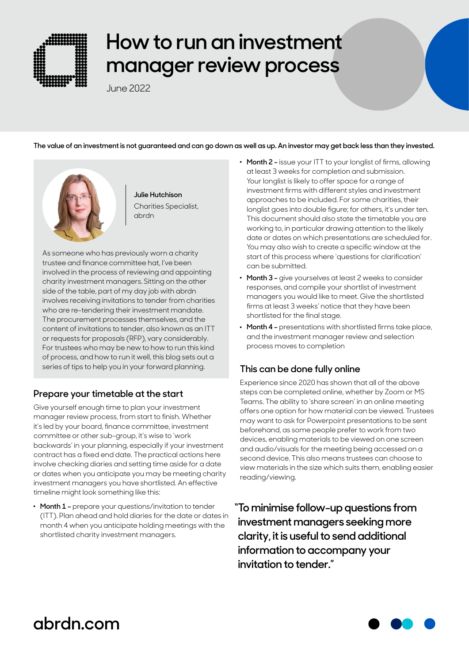

# **How to run an investment manager review process**

June 2022

**The value of an investment is not guaranteed and can go down as well as up. An investor may get back less than they invested.**



**Julie Hutchison** Charities Specialist, abrdn

As someone who has previously worn a charity trustee and finance committee hat, I've been involved in the process of reviewing and appointing charity investment managers. Sitting on the other side of the table, part of my day job with abrdn involves receiving invitations to tender from charities who are re-tendering their investment mandate. The procurement processes themselves, and the content of invitations to tender, also known as an ITT or requests for proposals (RFP), vary considerably. For trustees who may be new to how to run this kind of process, and how to run it well, this blog sets out a series of tips to help you in your forward planning.

#### **Prepare your timetable at the start**

Give yourself enough time to plan your investment manager review process, from start to finish. Whether it's led by your board, finance committee, investment committee or other sub-group, it's wise to 'work backwards' in your planning, especially if your investment contract has a fixed end date. The practical actions here involve checking diaries and setting time aside for a date or dates when you anticipate you may be meeting charity investment managers you have shortlisted. An effective timeline might look something like this:

. **Month 1 –** prepare your questions/invitation to tender (ITT). Plan ahead and hold diaries for the date or dates in month 4 when you anticipate holding meetings with the shortlisted charity investment managers.

- . **Month 2 –** issue your ITT to your longlist of firms, allowing at least 3 weeks for completion and submission. Your longlist is likely to offer space for a range of investment firms with different styles and investment approaches to be included. For some charities, their longlist goes into double figure; for others, it's under ten. This document should also state the timetable you are working to, in particular drawing attention to the likely date or dates on which presentations are scheduled for. You may also wish to create a specific window at the start of this process where 'questions for clarification' can be submitted.
- . **Month 3 –** give yourselves at least 2 weeks to consider responses, and compile your shortlist of investment managers you would like to meet. Give the shortlisted firms at least 3 weeks' notice that they have been shortlisted for the final stage.
- . **Month 4 –** presentations with shortlisted firms take place, and the investment manager review and selection process moves to completion

### **This can be done fully online**

Experience since 2020 has shown that all of the above steps can be completed online, whether by Zoom or MS Teams. The ability to 'share screen' in an online meeting offers one option for how material can be viewed. Trustees may want to ask for Powerpoint presentations to be sent beforehand, as some people prefer to work from two devices, enabling materials to be viewed on one screen and audio/visuals for the meeting being accessed on a second device. This also means trustees can choose to view materials in the size which suits them, enabling easier reading/viewing.

**"To minimise follow-up questions from investment managers seeking more clarity, it is useful to send additional information to accompany your invitation to tender."**



## **abrdn.com**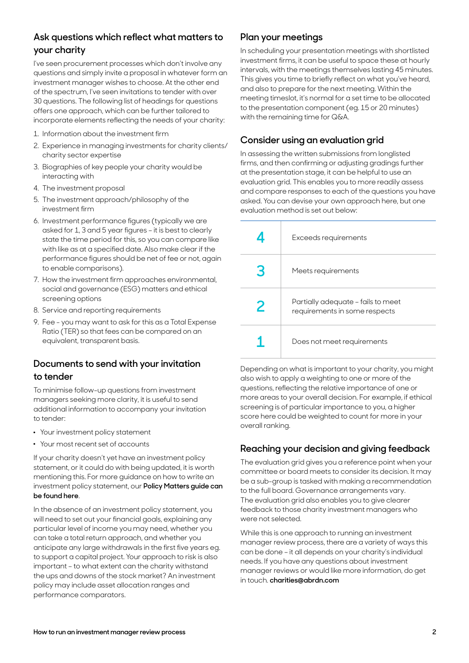#### **Ask questions which reflect what matters to your charity**

I've seen procurement processes which don't involve any questions and simply invite a proposal in whatever form an investment manager wishes to choose. At the other end of the spectrum, I've seen invitations to tender with over 30 questions. The following list of headings for questions offers one approach, which can be further tailored to incorporate elements reflecting the needs of your charity:

- 1. Information about the investment firm
- 2. Experience in managing investments for charity clients/ charity sector expertise
- 3. Biographies of key people your charity would be interacting with
- 4. The investment proposal
- 5. The investment approach/philosophy of the investment firm
- 6. Investment performance figures (typically we are asked for 1, 3 and 5 year figures – it is best to clearly state the time period for this, so you can compare like with like as at a specified date. Also make clear if the performance figures should be net of fee or not, again to enable comparisons).
- 7. How the investment firm approaches environmental, social and governance (ESG) matters and ethical screening options
- 8. Service and reporting requirements
- 9. Fee you may want to ask for this as a Total Expense Ratio (TER) so that fees can be compared on an equivalent, transparent basis.

#### **Documents to send with your invitation to tender**

To minimise follow-up questions from investment managers seeking more clarity, it is useful to send additional information to accompany your invitation to tender:

- . Your investment policy statement
- . Your most recent set of accounts

If your charity doesn't yet have an investment policy statement, or it could do with being updated, it is worth mentioning this. For more guidance on how to write an investment policy statement, our **[Policy Matters guide can](https://www.abrdn.com/discretionary/uk/charities)  [be found here](https://www.abrdn.com/discretionary/uk/charities)**.

In the absence of an investment policy statement, you will need to set out your financial goals, explaining any particular level of income you may need, whether you can take a total return approach, and whether you anticipate any large withdrawals in the first five years eg. to support a capital project. Your approach to risk is also important – to what extent can the charity withstand the ups and downs of the stock market? An investment policy may include asset allocation ranges and performance comparators.

#### **Plan your meetings**

In scheduling your presentation meetings with shortlisted investment firms, it can be useful to space these at hourly intervals, with the meetings themselves lasting 45 minutes. This gives you time to briefly reflect on what you've heard, and also to prepare for the next meeting. Within the meeting timeslot, it's normal for a set time to be allocated to the presentation component (eg. 15 or 20 minutes) with the remaining time for Q&A.

#### **Consider using an evaluation grid**

In assessing the written submissions from longlisted firms, and then confirming or adjusting gradings further at the presentation stage, it can be helpful to use an evaluation grid. This enables you to more readily assess and compare responses to each of the questions you have asked. You can devise your own approach here, but one evaluation method is set out below:

|   | Exceeds requirements                                                |
|---|---------------------------------------------------------------------|
|   | Meets requirements                                                  |
| 2 | Partially adequate - fails to meet<br>requirements in some respects |
|   | Does not meet requirements                                          |

Depending on what is important to your charity, you might also wish to apply a weighting to one or more of the questions, reflecting the relative importance of one or more areas to your overall decision. For example, if ethical screening is of particular importance to you, a higher score here could be weighted to count for more in your overall ranking.

#### **Reaching your decision and giving feedback**

The evaluation grid gives you a reference point when your committee or board meets to consider its decision. It may be a sub-group is tasked with making a recommendation to the full board. Governance arrangements vary. The evaluation grid also enables you to give clearer feedback to those charity investment managers who were not selected.

While this is one approach to running an investment manager review process, there are a variety of ways this can be done – it all depends on your charity's individual needs. If you have any questions about investment manager reviews or would like more information, do get in touch. **[charities@abrdn.com](mailto:charities%40abrdn.com?subject=)**